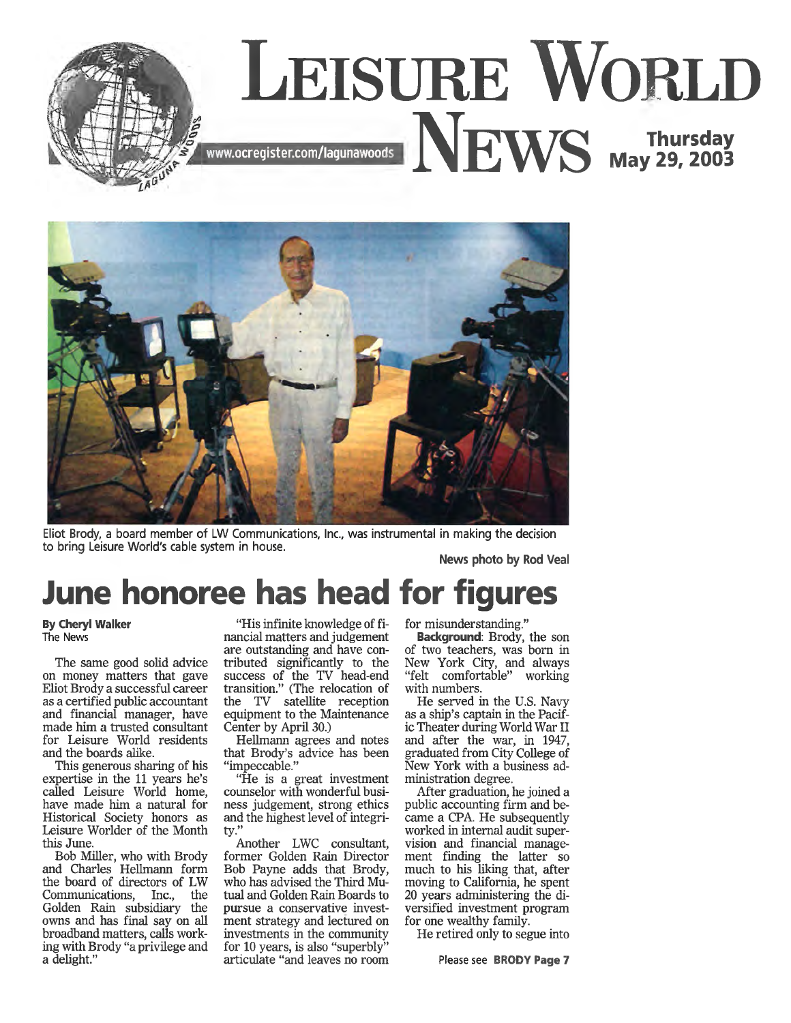



Eliot Brody, a board member of LW Communications, Inc., was instrumental in making the decision to bring Leisure World's cable system in house.

**News photo by Rod Veal**

## **June honoree has head for figures**

## **By Cheryl Walker** The News

The same good solid advice on money matters that gave Eliot Brody a successful career as a certified public accountant and financial manager, have made him a trusted consultant for Leisure World residents and the boards alike.

This generous sharing of his expertise in the 11 years he's called Leisure World home, have made him a natural for Historical Society honors as Leisure Worlder of the Month this June.

Bob Miller, who with Brody and Charles Hellmann form the board of directors of LW Communications, Inc., the Golden Rain subsidiary the owns and has final say on all broadband matters, calls working with Brody "a privilege and a delight."

"His infinite knowledge of financial matters and judgement are outstanding and have contributed significantly to the success of the TV head-end transition." (The relocation of the TV satellite reception equipment to the Maintenance Center by April 30.)

Hellmann agrees and notes that Brody's advice has been "impeccable."

"He is a great investment counselor with wonderful business judgement, strong ethics and the highest level of integrity."

Another LWC consultant, former Golden Rain Director Bob Payne adds that Brody, who has advised the Third Mutual and Golden Rain Boards to pursue a conservative investment strategy and lectured on investments in the community for 10 years, is also "superbly" articulate "and leaves no room

for misunderstanding."

Background: Brody, the son of two teachers, was bom in New York City, and always "felt comfortable" working with numbers.

He served in the U.S. Navy as a ship's captain in the Pacific Theater during World War II and after the war, in 1947, graduated from City College of New York with a business administration degree.

After graduation, he joined a public accounting firm and became a CPA. He subsequently worked in internal audit supervision and financial management finding the latter so much to his liking that, after moving to California, he spent 20 years administering the diversified investment program for one wealthy family.

He retired only to segue into

Please see BRODY Page 7